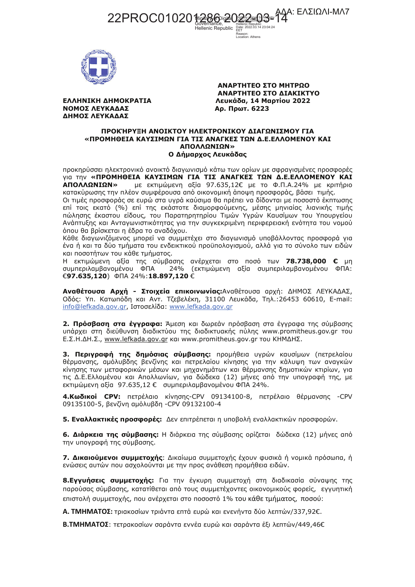**ΑΔΑ: ΕΛΣΙΩΛΙ-ΜΛ7** 22PROC010201286202 Hellenic Republic FFT Reason:<br>Reason:<br>Location: Athens



ΕΛΛΗΝΙΚΗ ΔΗΜΟΚΡΑΤΙΑ ΝΟΜΟΣ ΛΕΥΚΑΔΑΣ ΔΗΜΟΣ ΛΕΥΚΑΔΑΣ

ΑΝΑΡΤΗΤΕΟ ΣΤΟ ΜΗΤΡΩΟ ΑΝΑΡΤΗΤΕΟ ΣΤΟ ΔΙΑΚΙΚΤΥΟ Λευκάδα, 14 Μαρτίου 2022 Αρ. Πρωτ. 6223

## ΠΡΟΚΉΡΥΞΗ ΑΝΟΙΚΤΟΥ ΗΛΕΚΤΡΟΝΙΚΟΥ ΔΙΑΓΩΝΙΣΜΟΥ ΓΙΑ «ΠΡΟΜΗΘΕΙΑ ΚΑΥΣΙΜΩΝ ΓΙΑ ΤΙΣ ΑΝΑΓΚΕΣ ΤΩΝ Δ.Ε.ΕΛΛΟΜΕΝΟΥ ΚΑΙ ΑΠΟΛΛΩΝΙΩΝ» Ο Δήμαρχος Λευκάδας

προκηρύσσει ηλεκτρονικό ανοικτό διαγωνισμό κάτω των ορίων με σφραγισμένες προσφορές για την «ΠΡΟΜΗΘΕΙΑ ΚΑΥΣΙΜΩΝ ΓΙΑ ΤΙΣ ΑΝΑΓΚΕΣ ΤΩΝ Δ.Ε.ΕΛΛΟΜΕΝΟΥ ΚΑΙ με εκτιμώμενη αξία 97.635,12€ με το Φ.Π.Α.24% με κριτήριο ΑΠΟΛΛΩΝΙΩΝ» κατακύρωσης την πλέον συμφέρουσα από οικονομική άποψη προσφοράς, βάσει τιμής.

Οι τιμές προσφοράς σε ευρώ στα υγρά καύσιμα θα πρέπει να δίδονται με ποσοστό έκπτωσης επί τοις εκατό (%) επί της εκάστοτε διαμορφούμενης, μέσης μηνιαίας λιανικής τιμής πώλησης έκαστου είδους, του Παρατηρητηρίου Τιμών Υγρών Καυσίμων του Υπουργείου Ανάπτυξης και Ανταγωνιστικότητας για την συγκεκριμένη περιφερειακή ενότητα του νομού όπου θα βρίσκεται η έδρα το αναδόχου.

Κάθε διαγωνιζόμενος μπορεί να συμμετέχει στο διαγωνισμό υποβάλλοντας προσφορά για ένα ή και τα δύο τμήματα του ενδεικτικού προϋπολογισμού, αλλά για το σύνολο των ειδών και ποσοτήτων του κάθε τμήματος.

Η εκτιμώμενη αξία της σύμβασης ανέρχεται στο ποσό των 78.738,000 € μη συμπεριλαμβανομένου ΦΠΑ 24% (εκτιμώμενη αξία συμπεριλαμβανομένου ΦΠΑ: €97.635,120) ΦΠΑ 24%:18.897,120 €

Αναθέτουσα Αρχή - Στοιχεία επικοινωνίας: Αναθέτουσα αρχή: ΔΗΜΟΣ ΛΕΥΚΑΔΑΣ, Οδός: Υπ. Κατωπόδη και Αντ. Τζεβελέκη, 31100 Λευκάδα, Τηλ.:26453 60610, E-mail: info@lefkada.gov.gr, Ιστοσελίδα: www.lefkada.gov.gr

2. Πρόσβαση στα έγγραφα: Άμεση και δωρεάν πρόσβαση στα έγγραφα της σύμβασης υπάρχει στη διεύθυνση διαδικτύου της διαδικτυακής πύλης www.promitheus.gov.gr του Ε.Σ.Η.ΔΗ.Σ., www.lefkada.gov.gr και www.promitheus.gov.gr του ΚΗΜΔΗΣ.

3. Περιγραφή της δημόσιας σύμβασης: προμήθεια υγρών καυσίμων (πετρελαίου θέρμανσης, αμόλυβδης βενζίνης και πετρελαίου κίνησης για την κάλυψη των αναγκών κίνησης των μεταφορικών μέσων και μηχανημάτων και θέρμανσης δημοτικών κτιρίων, για τις Δ.Ε.Ελλομένου και Απολλωνίων, για δώδεκα (12) μήνες από την υπογραφή της, με εκτιμώμενη αξία 97.635,12 € συμπεριλαμβανομένου ΦΠΑ 24%.

4. Κωδικοί CPV: πετρέλαιο κίνησης-CPV 09134100-8, πετρέλαιο θέρμανσης -CPV 09135100-5, βενζίνη αμόλυβδη -CPV 09132100-4

5. Εναλλακτικές προσφορές: Δεν επιτρέπεται η υποβολή εναλλακτικών προσφορών.

6. Διάρκεια της σύμβασης: Η διάρκεια της σύμβασης ορίζεται δώδεκα (12) μήνες από την υπογραφή της σύμβασης.

7. Δικαιούμενοι συμμετοχής: Δικαίωμα συμμετοχής έχουν φυσικά ή νομικά πρόσωπα, ή ενώσεις αυτών που ασχολούνται με την προς ανάθεση προμήθεια ειδών.

**8. Εγγυήσεις συμμετοχής:** Για την έγκυρη συμμετοχή στη διαδικασία σύναψης της παρούσας σύμβασης, κατατίθεται από τους συμμετέχοντες οικονομικούς φορείς, εννυητική επιστολή συμμετοχής, που ανέρχεται στο ποσοστό 1% του κάθε τμήματος, ποσού:

**A. TMHMATOΣ:** τριακοσίων τριάντα επτά ευρώ και ενενήντα δύο λεπτών/337,92€.

**Β.ΤΜΗΜΑΤΟΣ**: τετρακοσίων σαράντα εννέα ευρώ και σαράντα έξι λεπτών/449,46€